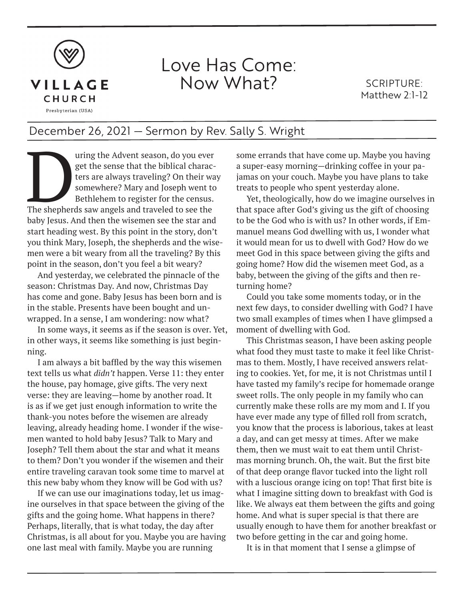

## Love Has Come: Now What?

SCRIPTURE: Matthew 2:1-12

## December 26, 2021 — Sermon by Rev. Sally S. Wright

The season, do you ever<br>
get the sense that the biblical charac-<br>
ters are always traveling? On their was<br>
somewhere? Mary and Joseph went to<br>
Bethlehem to register for the census.<br>
The shepherds saw angels and traveled to get the sense that the biblical characters are always traveling? On their way somewhere? Mary and Joseph went to Bethlehem to register for the census. baby Jesus. And then the wisemen see the star and start heading west. By this point in the story, don't you think Mary, Joseph, the shepherds and the wisemen were a bit weary from all the traveling? By this point in the season, don't you feel a bit weary?

And yesterday, we celebrated the pinnacle of the season: Christmas Day. And now, Christmas Day has come and gone. Baby Jesus has been born and is in the stable. Presents have been bought and unwrapped. In a sense, I am wondering: now what?

In some ways, it seems as if the season is over. Yet, in other ways, it seems like something is just beginning.

I am always a bit baffled by the way this wisemen text tells us what *didn't* happen. Verse 11: they enter the house, pay homage, give gifts. The very next verse: they are leaving—home by another road. It is as if we get just enough information to write the thank-you notes before the wisemen are already leaving, already heading home. I wonder if the wisemen wanted to hold baby Jesus? Talk to Mary and Joseph? Tell them about the star and what it means to them? Don't you wonder if the wisemen and their entire traveling caravan took some time to marvel at this new baby whom they know will be God with us?

If we can use our imaginations today, let us imagine ourselves in that space between the giving of the gifts and the going home. What happens in there? Perhaps, literally, that is what today, the day after Christmas, is all about for you. Maybe you are having one last meal with family. Maybe you are running

some errands that have come up. Maybe you having a super-easy morning—drinking coffee in your pajamas on your couch. Maybe you have plans to take treats to people who spent yesterday alone.

Yet, theologically, how do we imagine ourselves in that space after God's giving us the gift of choosing to be the God who is with us? In other words, if Emmanuel means God dwelling with us, I wonder what it would mean for us to dwell with God? How do we meet God in this space between giving the gifts and going home? How did the wisemen meet God, as a baby, between the giving of the gifts and then returning home?

Could you take some moments today, or in the next few days, to consider dwelling with God? I have two small examples of times when I have glimpsed a moment of dwelling with God.

This Christmas season, I have been asking people what food they must taste to make it feel like Christmas to them. Mostly, I have received answers relating to cookies. Yet, for me, it is not Christmas until I have tasted my family's recipe for homemade orange sweet rolls. The only people in my family who can currently make these rolls are my mom and I. If you have ever made any type of filled roll from scratch, you know that the process is laborious, takes at least a day, and can get messy at times. After we make them, then we must wait to eat them until Christmas morning brunch. Oh, the wait. But the first bite of that deep orange flavor tucked into the light roll with a luscious orange icing on top! That first bite is what I imagine sitting down to breakfast with God is like. We always eat them between the gifts and going home. And what is super special is that there are usually enough to have them for another breakfast or two before getting in the car and going home.

It is in that moment that I sense a glimpse of